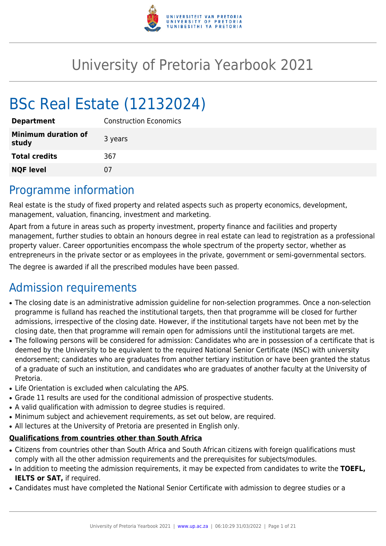

# University of Pretoria Yearbook 2021

# BSc Real Estate (12132024)

| <b>Department</b>                   | <b>Construction Economics</b> |
|-------------------------------------|-------------------------------|
| <b>Minimum duration of</b><br>study | 3 years                       |
| <b>Total credits</b>                | 367                           |
| <b>NQF level</b>                    | 07                            |

### Programme information

Real estate is the study of fixed property and related aspects such as property economics, development, management, valuation, financing, investment and marketing.

Apart from a future in areas such as property investment, property finance and facilities and property management, further studies to obtain an honours degree in real estate can lead to registration as a professional property valuer. Career opportunities encompass the whole spectrum of the property sector, whether as entrepreneurs in the private sector or as employees in the private, government or semi-governmental sectors.

The degree is awarded if all the prescribed modules have been passed.

# Admission requirements

- The closing date is an administrative admission guideline for non-selection programmes. Once a non-selection programme is fulland has reached the institutional targets, then that programme will be closed for further admissions, irrespective of the closing date. However, if the institutional targets have not been met by the closing date, then that programme will remain open for admissions until the institutional targets are met.
- The following persons will be considered for admission: Candidates who are in possession of a certificate that is deemed by the University to be equivalent to the required National Senior Certificate (NSC) with university endorsement; candidates who are graduates from another tertiary institution or have been granted the status of a graduate of such an institution, and candidates who are graduates of another faculty at the University of Pretoria.
- Life Orientation is excluded when calculating the APS.
- Grade 11 results are used for the conditional admission of prospective students.
- A valid qualification with admission to degree studies is required.
- Minimum subject and achievement requirements, as set out below, are required.
- All lectures at the University of Pretoria are presented in English only.

#### **Qualifications from countries other than South Africa**

- Citizens from countries other than South Africa and South African citizens with foreign qualifications must comply with all the other admission requirements and the prerequisites for subjects/modules.
- In addition to meeting the admission requirements, it may be expected from candidates to write the TOEFL, **IELTS or SAT,** if required.
- Candidates must have completed the National Senior Certificate with admission to degree studies or a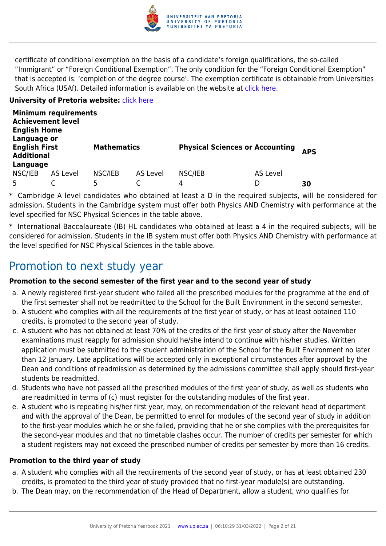

certificate of conditional exemption on the basis of a candidate's foreign qualifications, the so-called "Immigrant" or "Foreign Conditional Exemption". The only condition for the "Foreign Conditional Exemption" that is accepted is: 'completion of the degree course'. The exemption certificate is obtainable from Universities South Africa (USAf). Detailed information is available on the website at [click here.](http://mb.usaf.ac.za)

#### **University of Pretoria website: [click here](http://www.up.ac.za/ebit)**

| <b>Achievement level</b><br><b>English Home</b><br>Language or | <b>Minimum requirements</b> |                    |          |                                        |          |            |
|----------------------------------------------------------------|-----------------------------|--------------------|----------|----------------------------------------|----------|------------|
| <b>English First</b><br><b>Additional</b>                      |                             | <b>Mathematics</b> |          | <b>Physical Sciences or Accounting</b> |          | <b>APS</b> |
| Language                                                       |                             |                    |          |                                        |          |            |
| NSC/IEB                                                        | AS Level                    | NSC/IEB            | AS Level | NSC/IEB                                | AS Level |            |
|                                                                |                             | 5                  |          | 4                                      | D        | 30         |

\* Cambridge A level candidates who obtained at least a D in the required subjects, will be considered for admission. Students in the Cambridge system must offer both Physics AND Chemistry with performance at the level specified for NSC Physical Sciences in the table above.

\* International Baccalaureate (IB) HL candidates who obtained at least a 4 in the required subjects, will be considered for admission. Students in the IB system must offer both Physics AND Chemistry with performance at the level specified for NSC Physical Sciences in the table above.

### Promotion to next study year

#### **Promotion to the second semester of the first year and to the second year of study**

- a. A newly registered first-year student who failed all the prescribed modules for the programme at the end of the first semester shall not be readmitted to the School for the Built Environment in the second semester.
- b. A student who complies with all the requirements of the first year of study, or has at least obtained 110 credits, is promoted to the second year of study.
- c. A student who has not obtained at least 70% of the credits of the first year of study after the November examinations must reapply for admission should he/she intend to continue with his/her studies. Written application must be submitted to the student administration of the School for the Built Environment no later than 12 January. Late applications will be accepted only in exceptional circumstances after approval by the Dean and conditions of readmission as determined by the admissions committee shall apply should first-year students be readmitted.
- d. Students who have not passed all the prescribed modules of the first year of study, as well as students who are readmitted in terms of (c) must register for the outstanding modules of the first year.
- e. A student who is repeating his/her first year, may, on recommendation of the relevant head of department and with the approval of the Dean, be permitted to enrol for modules of the second year of study in addition to the first-year modules which he or she failed, providing that he or she complies with the prerequisites for the second-year modules and that no timetable clashes occur. The number of credits per semester for which a student registers may not exceed the prescribed number of credits per semester by more than 16 credits.

#### **Promotion to the third year of study**

- a. A student who complies with all the requirements of the second year of study, or has at least obtained 230 credits, is promoted to the third year of study provided that no first-year module(s) are outstanding.
- b. The Dean may, on the recommendation of the Head of Department, allow a student, who qualifies for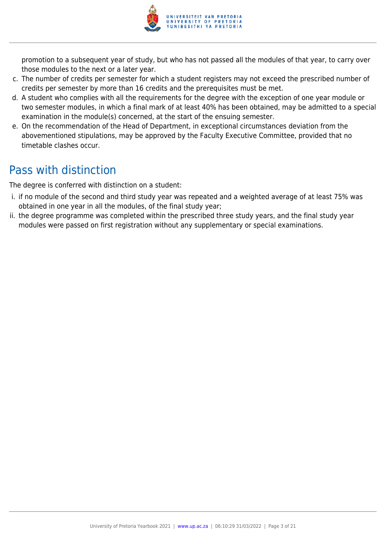

promotion to a subsequent year of study, but who has not passed all the modules of that year, to carry over those modules to the next or a later year.

- c. The number of credits per semester for which a student registers may not exceed the prescribed number of credits per semester by more than 16 credits and the prerequisites must be met.
- d. A student who complies with all the requirements for the degree with the exception of one year module or two semester modules, in which a final mark of at least 40% has been obtained, may be admitted to a special examination in the module(s) concerned, at the start of the ensuing semester.
- e. On the recommendation of the Head of Department, in exceptional circumstances deviation from the abovementioned stipulations, may be approved by the Faculty Executive Committee, provided that no timetable clashes occur.

# Pass with distinction

The degree is conferred with distinction on a student:

- i. if no module of the second and third study year was repeated and a weighted average of at least 75% was obtained in one year in all the modules, of the final study year;
- ii. the degree programme was completed within the prescribed three study years, and the final study year modules were passed on first registration without any supplementary or special examinations.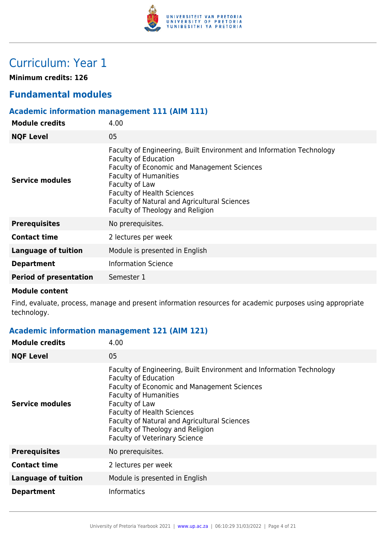

# Curriculum: Year 1

**Minimum credits: 126**

### **Fundamental modules**

#### **Academic information management 111 (AIM 111)**

| <b>Module credits</b>         | 4.00                                                                                                                                                                                                                                                                                                                          |
|-------------------------------|-------------------------------------------------------------------------------------------------------------------------------------------------------------------------------------------------------------------------------------------------------------------------------------------------------------------------------|
| <b>NQF Level</b>              | 05                                                                                                                                                                                                                                                                                                                            |
| Service modules               | Faculty of Engineering, Built Environment and Information Technology<br><b>Faculty of Education</b><br>Faculty of Economic and Management Sciences<br><b>Faculty of Humanities</b><br>Faculty of Law<br><b>Faculty of Health Sciences</b><br>Faculty of Natural and Agricultural Sciences<br>Faculty of Theology and Religion |
| <b>Prerequisites</b>          | No prerequisites.                                                                                                                                                                                                                                                                                                             |
| <b>Contact time</b>           | 2 lectures per week                                                                                                                                                                                                                                                                                                           |
| <b>Language of tuition</b>    | Module is presented in English                                                                                                                                                                                                                                                                                                |
| <b>Department</b>             | <b>Information Science</b>                                                                                                                                                                                                                                                                                                    |
| <b>Period of presentation</b> | Semester 1                                                                                                                                                                                                                                                                                                                    |
|                               |                                                                                                                                                                                                                                                                                                                               |

#### **Module content**

Find, evaluate, process, manage and present information resources for academic purposes using appropriate technology.

#### **Academic information management 121 (AIM 121)**

| <b>Module credits</b>      | 4.00                                                                                                                                                                                                                                                                                                                                                                         |
|----------------------------|------------------------------------------------------------------------------------------------------------------------------------------------------------------------------------------------------------------------------------------------------------------------------------------------------------------------------------------------------------------------------|
| <b>NQF Level</b>           | 05                                                                                                                                                                                                                                                                                                                                                                           |
| Service modules            | Faculty of Engineering, Built Environment and Information Technology<br><b>Faculty of Education</b><br><b>Faculty of Economic and Management Sciences</b><br><b>Faculty of Humanities</b><br>Faculty of Law<br><b>Faculty of Health Sciences</b><br>Faculty of Natural and Agricultural Sciences<br>Faculty of Theology and Religion<br><b>Faculty of Veterinary Science</b> |
| <b>Prerequisites</b>       | No prerequisites.                                                                                                                                                                                                                                                                                                                                                            |
| <b>Contact time</b>        | 2 lectures per week                                                                                                                                                                                                                                                                                                                                                          |
| <b>Language of tuition</b> | Module is presented in English                                                                                                                                                                                                                                                                                                                                               |
| <b>Department</b>          | <b>Informatics</b>                                                                                                                                                                                                                                                                                                                                                           |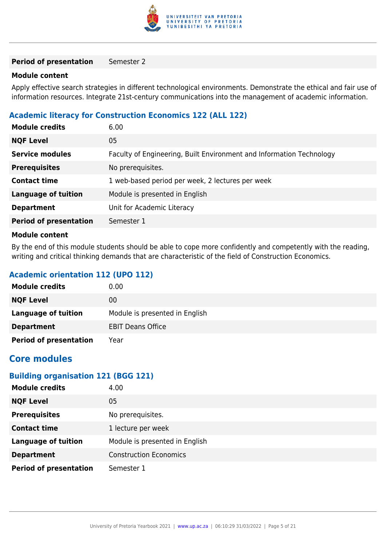

#### **Period of presentation** Semester 2

#### **Module content**

Apply effective search strategies in different technological environments. Demonstrate the ethical and fair use of information resources. Integrate 21st-century communications into the management of academic information.

#### **Academic literacy for Construction Economics 122 (ALL 122)**

| <b>Module credits</b>         | 6.00                                                                 |
|-------------------------------|----------------------------------------------------------------------|
| <b>NQF Level</b>              | 05                                                                   |
| <b>Service modules</b>        | Faculty of Engineering, Built Environment and Information Technology |
| <b>Prerequisites</b>          | No prerequisites.                                                    |
| <b>Contact time</b>           | 1 web-based period per week, 2 lectures per week                     |
| Language of tuition           | Module is presented in English                                       |
| <b>Department</b>             | Unit for Academic Literacy                                           |
| <b>Period of presentation</b> | Semester 1                                                           |
| Madula aantant                |                                                                      |

#### **Module content**

By the end of this module students should be able to cope more confidently and competently with the reading, writing and critical thinking demands that are characteristic of the field of Construction Economics.

#### **Academic orientation 112 (UPO 112)**

| <b>Module credits</b>         | 0.00                           |
|-------------------------------|--------------------------------|
| <b>NQF Level</b>              | 00                             |
| Language of tuition           | Module is presented in English |
| <b>Department</b>             | <b>EBIT Deans Office</b>       |
| <b>Period of presentation</b> | Year                           |

#### **Core modules**

#### **Building organisation 121 (BGG 121)**

| <b>Module credits</b>         | 4.00                           |
|-------------------------------|--------------------------------|
| <b>NQF Level</b>              | 05                             |
| <b>Prerequisites</b>          | No prerequisites.              |
| <b>Contact time</b>           | 1 lecture per week             |
| <b>Language of tuition</b>    | Module is presented in English |
| <b>Department</b>             | <b>Construction Economics</b>  |
| <b>Period of presentation</b> | Semester 1                     |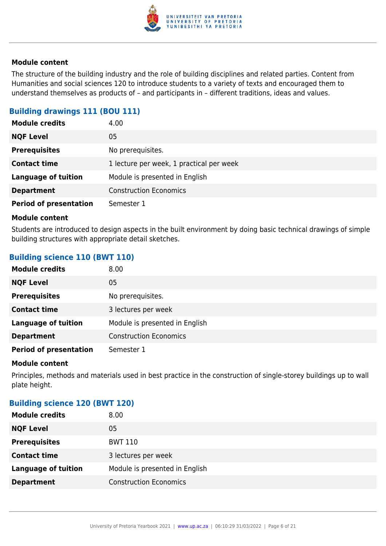

The structure of the building industry and the role of building disciplines and related parties. Content from Humanities and social sciences 120 to introduce students to a variety of texts and encouraged them to understand themselves as products of – and participants in – different traditions, ideas and values.

#### **Building drawings 111 (BOU 111)**

| <b>Module credits</b>         | 4.00                                     |
|-------------------------------|------------------------------------------|
| <b>NQF Level</b>              | 05                                       |
| <b>Prerequisites</b>          | No prerequisites.                        |
| <b>Contact time</b>           | 1 lecture per week, 1 practical per week |
| <b>Language of tuition</b>    | Module is presented in English           |
| <b>Department</b>             | <b>Construction Economics</b>            |
| <b>Period of presentation</b> | Semester 1                               |

#### **Module content**

Students are introduced to design aspects in the built environment by doing basic technical drawings of simple building structures with appropriate detail sketches.

#### **Building science 110 (BWT 110)**

| <b>Module credits</b>         | 8.00                           |
|-------------------------------|--------------------------------|
| <b>NQF Level</b>              | 05                             |
| <b>Prerequisites</b>          | No prerequisites.              |
| <b>Contact time</b>           | 3 lectures per week            |
| <b>Language of tuition</b>    | Module is presented in English |
| <b>Department</b>             | <b>Construction Economics</b>  |
| <b>Period of presentation</b> | Semester 1                     |

#### **Module content**

Principles, methods and materials used in best practice in the construction of single-storey buildings up to wall plate height.

#### **Building science 120 (BWT 120)**

| <b>Module credits</b>      | 8.00                           |
|----------------------------|--------------------------------|
| <b>NQF Level</b>           | 05                             |
| <b>Prerequisites</b>       | <b>BWT 110</b>                 |
| <b>Contact time</b>        | 3 lectures per week            |
| <b>Language of tuition</b> | Module is presented in English |
| <b>Department</b>          | <b>Construction Economics</b>  |
|                            |                                |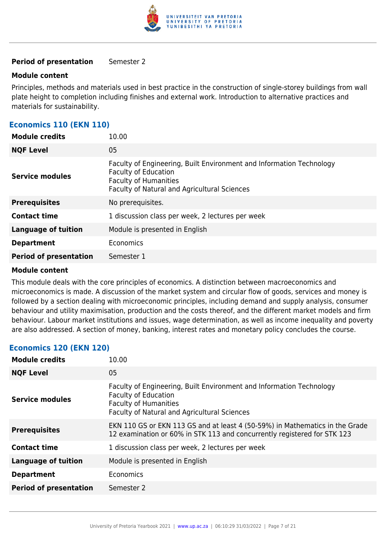

#### **Period of presentation** Semester 2

#### **Module content**

Principles, methods and materials used in best practice in the construction of single-storey buildings from wall plate height to completion including finishes and external work. Introduction to alternative practices and materials for sustainability.

#### **Economics 110 (EKN 110)**

| <b>Module credits</b>         | 10.00                                                                                                                                                                               |
|-------------------------------|-------------------------------------------------------------------------------------------------------------------------------------------------------------------------------------|
| <b>NQF Level</b>              | 05                                                                                                                                                                                  |
| Service modules               | Faculty of Engineering, Built Environment and Information Technology<br><b>Faculty of Education</b><br><b>Faculty of Humanities</b><br>Faculty of Natural and Agricultural Sciences |
| <b>Prerequisites</b>          | No prerequisites.                                                                                                                                                                   |
| <b>Contact time</b>           | 1 discussion class per week, 2 lectures per week                                                                                                                                    |
| <b>Language of tuition</b>    | Module is presented in English                                                                                                                                                      |
| <b>Department</b>             | Economics                                                                                                                                                                           |
| <b>Period of presentation</b> | Semester 1                                                                                                                                                                          |

#### **Module content**

This module deals with the core principles of economics. A distinction between macroeconomics and microeconomics is made. A discussion of the market system and circular flow of goods, services and money is followed by a section dealing with microeconomic principles, including demand and supply analysis, consumer behaviour and utility maximisation, production and the costs thereof, and the different market models and firm behaviour. Labour market institutions and issues, wage determination, as well as income inequality and poverty are also addressed. A section of money, banking, interest rates and monetary policy concludes the course.

#### **Economics 120 (EKN 120)**

| <b>Module credits</b>         | 10.00                                                                                                                                                                               |
|-------------------------------|-------------------------------------------------------------------------------------------------------------------------------------------------------------------------------------|
| <b>NQF Level</b>              | 05                                                                                                                                                                                  |
| <b>Service modules</b>        | Faculty of Engineering, Built Environment and Information Technology<br><b>Faculty of Education</b><br><b>Faculty of Humanities</b><br>Faculty of Natural and Agricultural Sciences |
| <b>Prerequisites</b>          | EKN 110 GS or EKN 113 GS and at least 4 (50-59%) in Mathematics in the Grade<br>12 examination or 60% in STK 113 and concurrently registered for STK 123                            |
| <b>Contact time</b>           | 1 discussion class per week, 2 lectures per week                                                                                                                                    |
| Language of tuition           | Module is presented in English                                                                                                                                                      |
| <b>Department</b>             | Economics                                                                                                                                                                           |
| <b>Period of presentation</b> | Semester 2                                                                                                                                                                          |
|                               |                                                                                                                                                                                     |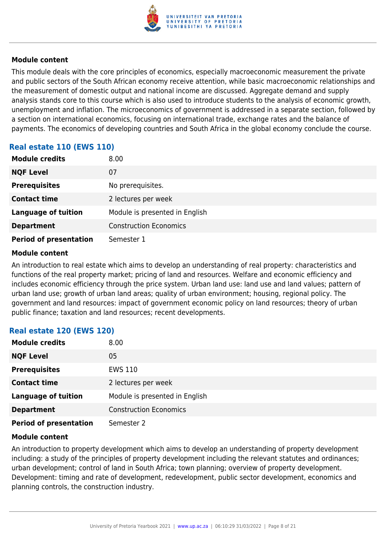

This module deals with the core principles of economics, especially macroeconomic measurement the private and public sectors of the South African economy receive attention, while basic macroeconomic relationships and the measurement of domestic output and national income are discussed. Aggregate demand and supply analysis stands core to this course which is also used to introduce students to the analysis of economic growth, unemployment and inflation. The microeconomics of government is addressed in a separate section, followed by a section on international economics, focusing on international trade, exchange rates and the balance of payments. The economics of developing countries and South Africa in the global economy conclude the course.

#### **Real estate 110 (EWS 110)**

| <b>Module credits</b>         | 8.00                           |
|-------------------------------|--------------------------------|
| <b>NQF Level</b>              | 07                             |
| <b>Prerequisites</b>          | No prerequisites.              |
| <b>Contact time</b>           | 2 lectures per week            |
| <b>Language of tuition</b>    | Module is presented in English |
| <b>Department</b>             | <b>Construction Economics</b>  |
| <b>Period of presentation</b> | Semester 1                     |

#### **Module content**

An introduction to real estate which aims to develop an understanding of real property: characteristics and functions of the real property market; pricing of land and resources. Welfare and economic efficiency and includes economic efficiency through the price system. Urban land use: land use and land values; pattern of urban land use; growth of urban land areas; quality of urban environment; housing, regional policy. The government and land resources: impact of government economic policy on land resources; theory of urban public finance; taxation and land resources; recent developments.

#### **Real estate 120 (EWS 120)**

| <b>Module credits</b>         | 8.00                           |
|-------------------------------|--------------------------------|
| <b>NQF Level</b>              | 05                             |
| <b>Prerequisites</b>          | <b>EWS 110</b>                 |
| <b>Contact time</b>           | 2 lectures per week            |
| <b>Language of tuition</b>    | Module is presented in English |
| <b>Department</b>             | <b>Construction Economics</b>  |
| <b>Period of presentation</b> | Semester 2                     |

#### **Module content**

An introduction to property development which aims to develop an understanding of property development including: a study of the principles of property development including the relevant statutes and ordinances; urban development; control of land in South Africa; town planning; overview of property development. Development: timing and rate of development, redevelopment, public sector development, economics and planning controls, the construction industry.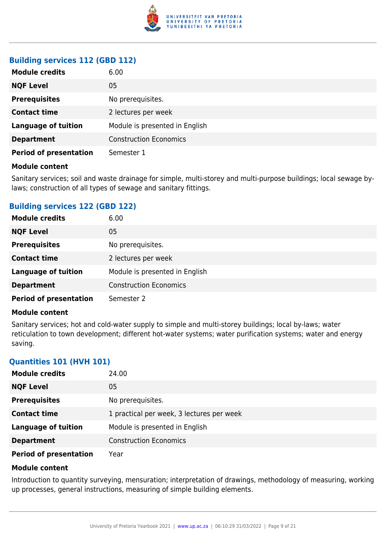

#### **Building services 112 (GBD 112)**

| <b>Module credits</b>         | 6.00                           |
|-------------------------------|--------------------------------|
| <b>NQF Level</b>              | 05                             |
| <b>Prerequisites</b>          | No prerequisites.              |
| <b>Contact time</b>           | 2 lectures per week            |
| <b>Language of tuition</b>    | Module is presented in English |
| <b>Department</b>             | <b>Construction Economics</b>  |
| <b>Period of presentation</b> | Semester 1                     |

#### **Module content**

Sanitary services; soil and waste drainage for simple, multi-storey and multi-purpose buildings; local sewage bylaws; construction of all types of sewage and sanitary fittings.

#### **Building services 122 (GBD 122)**

| <b>Module credits</b>         | 6.00                           |
|-------------------------------|--------------------------------|
| <b>NQF Level</b>              | 05                             |
| <b>Prerequisites</b>          | No prerequisites.              |
| <b>Contact time</b>           | 2 lectures per week            |
| <b>Language of tuition</b>    | Module is presented in English |
| <b>Department</b>             | <b>Construction Economics</b>  |
| <b>Period of presentation</b> | Semester 2                     |

#### **Module content**

Sanitary services; hot and cold-water supply to simple and multi-storey buildings; local by-laws; water reticulation to town development; different hot-water systems; water purification systems; water and energy saving.

#### **Quantities 101 (HVH 101)**

| <b>Module credits</b>         | 24.00                                     |
|-------------------------------|-------------------------------------------|
| <b>NQF Level</b>              | 05                                        |
| <b>Prerequisites</b>          | No prerequisites.                         |
| <b>Contact time</b>           | 1 practical per week, 3 lectures per week |
| <b>Language of tuition</b>    | Module is presented in English            |
| <b>Department</b>             | <b>Construction Economics</b>             |
| <b>Period of presentation</b> | Year                                      |

#### **Module content**

Introduction to quantity surveying, mensuration; interpretation of drawings, methodology of measuring, working up processes, general instructions, measuring of simple building elements.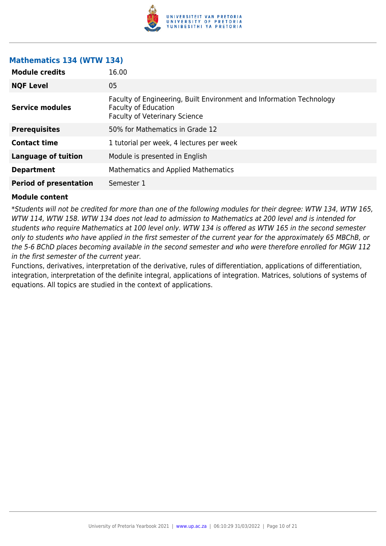

#### **Mathematics 134 (WTW 134)**

| <b>Module credits</b>         | 16.00                                                                                                                                       |
|-------------------------------|---------------------------------------------------------------------------------------------------------------------------------------------|
| <b>NQF Level</b>              | 05                                                                                                                                          |
| <b>Service modules</b>        | Faculty of Engineering, Built Environment and Information Technology<br><b>Faculty of Education</b><br><b>Faculty of Veterinary Science</b> |
| <b>Prerequisites</b>          | 50% for Mathematics in Grade 12                                                                                                             |
| <b>Contact time</b>           | 1 tutorial per week, 4 lectures per week                                                                                                    |
| <b>Language of tuition</b>    | Module is presented in English                                                                                                              |
| <b>Department</b>             | <b>Mathematics and Applied Mathematics</b>                                                                                                  |
| <b>Period of presentation</b> | Semester 1                                                                                                                                  |

#### **Module content**

\*Students will not be credited for more than one of the following modules for their degree: WTW 134, WTW 165, WTW 114, WTW 158. WTW 134 does not lead to admission to Mathematics at 200 level and is intended for students who require Mathematics at 100 level only. WTW 134 is offered as WTW 165 in the second semester only to students who have applied in the first semester of the current year for the approximately 65 MBChB, or the 5-6 BChD places becoming available in the second semester and who were therefore enrolled for MGW 112 in the first semester of the current year.

Functions, derivatives, interpretation of the derivative, rules of differentiation, applications of differentiation, integration, interpretation of the definite integral, applications of integration. Matrices, solutions of systems of equations. All topics are studied in the context of applications.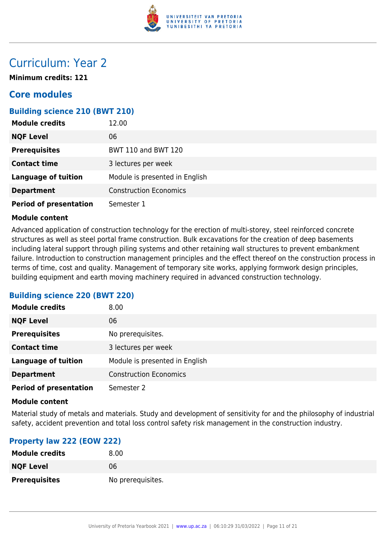

### Curriculum: Year 2

**Minimum credits: 121**

### **Core modules**

#### **Building science 210 (BWT 210)**

| <b>Module credits</b>         | 12.00                          |
|-------------------------------|--------------------------------|
| <b>NQF Level</b>              | 06                             |
| <b>Prerequisites</b>          | <b>BWT 110 and BWT 120</b>     |
| <b>Contact time</b>           | 3 lectures per week            |
| <b>Language of tuition</b>    | Module is presented in English |
| <b>Department</b>             | <b>Construction Economics</b>  |
| <b>Period of presentation</b> | Semester 1                     |

#### **Module content**

Advanced application of construction technology for the erection of multi-storey, steel reinforced concrete structures as well as steel portal frame construction. Bulk excavations for the creation of deep basements including lateral support through piling systems and other retaining wall structures to prevent embankment failure. Introduction to construction management principles and the effect thereof on the construction process in terms of time, cost and quality. Management of temporary site works, applying formwork design principles, building equipment and earth moving machinery required in advanced construction technology.

#### **Building science 220 (BWT 220)**

| <b>Module credits</b>         | 8.00                           |
|-------------------------------|--------------------------------|
| <b>NQF Level</b>              | 06                             |
| <b>Prerequisites</b>          | No prerequisites.              |
| <b>Contact time</b>           | 3 lectures per week            |
| <b>Language of tuition</b>    | Module is presented in English |
| <b>Department</b>             | <b>Construction Economics</b>  |
| <b>Period of presentation</b> | Semester 2                     |

#### **Module content**

Material study of metals and materials. Study and development of sensitivity for and the philosophy of industrial safety, accident prevention and total loss control safety risk management in the construction industry.

#### **Property law 222 (EOW 222)**

| <b>Module credits</b> | 8.00              |
|-----------------------|-------------------|
| <b>NQF Level</b>      | 06                |
| <b>Prerequisites</b>  | No prerequisites. |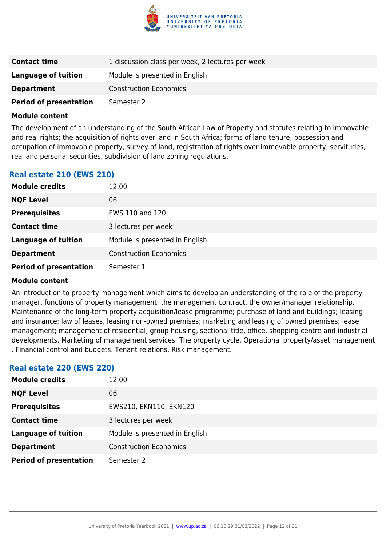

| <b>Contact time</b>           | 1 discussion class per week, 2 lectures per week |
|-------------------------------|--------------------------------------------------|
| Language of tuition           | Module is presented in English                   |
| <b>Department</b>             | <b>Construction Economics</b>                    |
| <b>Period of presentation</b> | Semester 2                                       |

The development of an understanding of the South African Law of Property and statutes relating to immovable and real rights; the acquisition of rights over land in South Africa; forms of land tenure; possession and occupation of immovable property, survey of land, registration of rights over immovable property, servitudes, real and personal securities, subdivision of land zoning regulations.

#### **Real estate 210 (EWS 210)**

| <b>Module credits</b>         | 12.00                          |
|-------------------------------|--------------------------------|
| <b>NQF Level</b>              | 06                             |
| <b>Prerequisites</b>          | EWS 110 and 120                |
| <b>Contact time</b>           | 3 lectures per week            |
| <b>Language of tuition</b>    | Module is presented in English |
| <b>Department</b>             | <b>Construction Economics</b>  |
| <b>Period of presentation</b> | Semester 1                     |

#### **Module content**

An introduction to property management which aims to develop an understanding of the role of the property manager, functions of property management, the management contract, the owner/manager relationship. Maintenance of the long-term property acquisition/lease programme; purchase of land and buildings; leasing and insurance; law of leases, leasing non-owned premises; marketing and leasing of owned premises; lease management; management of residential, group housing, sectional title, office, shopping centre and industrial developments. Marketing of management services. The property cycle. Operational property/asset management . Financial control and budgets. Tenant relations. Risk management.

#### **Real estate 220 (EWS 220)**

| <b>Module credits</b>         | 12.00                          |
|-------------------------------|--------------------------------|
| <b>NQF Level</b>              | 06                             |
| <b>Prerequisites</b>          | EWS210, EKN110, EKN120         |
| <b>Contact time</b>           | 3 lectures per week            |
| <b>Language of tuition</b>    | Module is presented in English |
| <b>Department</b>             | <b>Construction Economics</b>  |
| <b>Period of presentation</b> | Semester 2                     |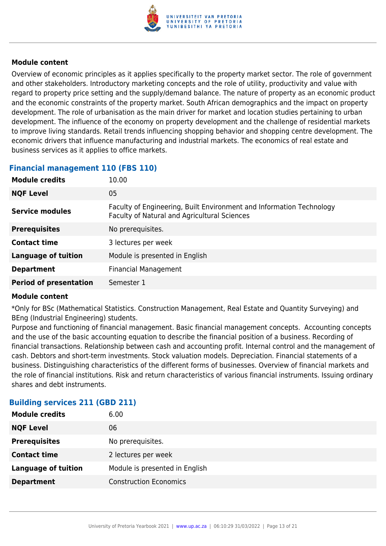

Overview of economic principles as it applies specifically to the property market sector. The role of government and other stakeholders. Introductory marketing concepts and the role of utility, productivity and value with regard to property price setting and the supply/demand balance. The nature of property as an economic product and the economic constraints of the property market. South African demographics and the impact on property development. The role of urbanisation as the main driver for market and location studies pertaining to urban development. The influence of the economy on property development and the challenge of residential markets to improve living standards. Retail trends influencing shopping behavior and shopping centre development. The economic drivers that influence manufacturing and industrial markets. The economics of real estate and business services as it applies to office markets.

#### **Financial management 110 (FBS 110)**

| <b>Module credits</b>         | 10.00                                                                                                                |
|-------------------------------|----------------------------------------------------------------------------------------------------------------------|
| <b>NQF Level</b>              | 05                                                                                                                   |
| Service modules               | Faculty of Engineering, Built Environment and Information Technology<br>Faculty of Natural and Agricultural Sciences |
| <b>Prerequisites</b>          | No prerequisites.                                                                                                    |
| <b>Contact time</b>           | 3 lectures per week                                                                                                  |
| <b>Language of tuition</b>    | Module is presented in English                                                                                       |
| <b>Department</b>             | <b>Financial Management</b>                                                                                          |
| <b>Period of presentation</b> | Semester 1                                                                                                           |

#### **Module content**

\*Only for BSc (Mathematical Statistics. Construction Management, Real Estate and Quantity Surveying) and BEng (Industrial Engineering) students.

Purpose and functioning of financial management. Basic financial management concepts. Accounting concepts and the use of the basic accounting equation to describe the financial position of a business. Recording of financial transactions. Relationship between cash and accounting profit. Internal control and the management of cash. Debtors and short-term investments. Stock valuation models. Depreciation. Financial statements of a business. Distinguishing characteristics of the different forms of businesses. Overview of financial markets and the role of financial institutions. Risk and return characteristics of various financial instruments. Issuing ordinary shares and debt instruments.

#### **Building services 211 (GBD 211)**

| <b>Module credits</b>      | 6.00                           |
|----------------------------|--------------------------------|
| <b>NQF Level</b>           | 06                             |
| <b>Prerequisites</b>       | No prerequisites.              |
| <b>Contact time</b>        | 2 lectures per week            |
| <b>Language of tuition</b> | Module is presented in English |
| <b>Department</b>          | <b>Construction Economics</b>  |
|                            |                                |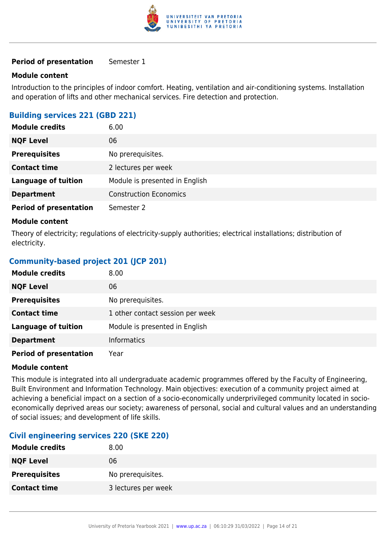

#### **Period of presentation** Semester 1

#### **Module content**

Introduction to the principles of indoor comfort. Heating, ventilation and air-conditioning systems. Installation and operation of lifts and other mechanical services. Fire detection and protection.

#### **Building services 221 (GBD 221)**

| <b>Module credits</b>         | 6.00                           |
|-------------------------------|--------------------------------|
| <b>NQF Level</b>              | 06                             |
| <b>Prerequisites</b>          | No prerequisites.              |
| <b>Contact time</b>           | 2 lectures per week            |
| <b>Language of tuition</b>    | Module is presented in English |
| <b>Department</b>             | <b>Construction Economics</b>  |
| <b>Period of presentation</b> | Semester 2                     |

#### **Module content**

Theory of electricity; regulations of electricity-supply authorities; electrical installations; distribution of electricity.

#### **Community-based project 201 (JCP 201)**

| <b>Module credits</b>         | 8.00                             |
|-------------------------------|----------------------------------|
| <b>NQF Level</b>              | 06                               |
| <b>Prerequisites</b>          | No prerequisites.                |
| <b>Contact time</b>           | 1 other contact session per week |
| <b>Language of tuition</b>    | Module is presented in English   |
| <b>Department</b>             | <b>Informatics</b>               |
| <b>Period of presentation</b> | Year                             |

#### **Module content**

This module is integrated into all undergraduate academic programmes offered by the Faculty of Engineering, Built Environment and Information Technology. Main objectives: execution of a community project aimed at achieving a beneficial impact on a section of a socio-economically underprivileged community located in socioeconomically deprived areas our society; awareness of personal, social and cultural values and an understanding of social issues; and development of life skills.

#### **Civil engineering services 220 (SKE 220)**

| <b>Module credits</b> | 8.00                |
|-----------------------|---------------------|
| <b>NQF Level</b>      | 06                  |
| <b>Prerequisites</b>  | No prerequisites.   |
| <b>Contact time</b>   | 3 lectures per week |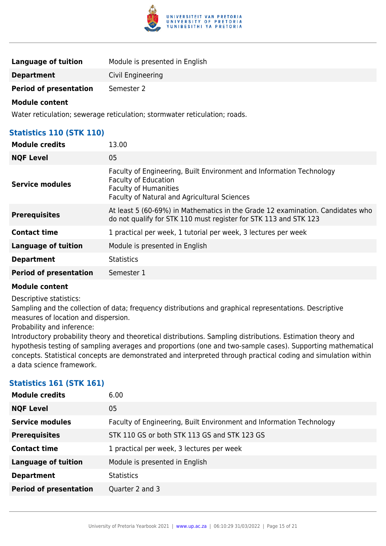

| <b>Language of tuition</b>    | Module is presented in English |
|-------------------------------|--------------------------------|
| <b>Department</b>             | Civil Engineering              |
| <b>Period of presentation</b> | Semester 2                     |

Water reticulation; sewerage reticulation; stormwater reticulation; roads.

#### **Statistics 110 (STK 110)**

| <b>Module credits</b>         | 13.00                                                                                                                                                                                      |
|-------------------------------|--------------------------------------------------------------------------------------------------------------------------------------------------------------------------------------------|
| <b>NQF Level</b>              | 05                                                                                                                                                                                         |
| <b>Service modules</b>        | Faculty of Engineering, Built Environment and Information Technology<br><b>Faculty of Education</b><br><b>Faculty of Humanities</b><br><b>Faculty of Natural and Agricultural Sciences</b> |
| <b>Prerequisites</b>          | At least 5 (60-69%) in Mathematics in the Grade 12 examination. Candidates who<br>do not qualify for STK 110 must register for STK 113 and STK 123                                         |
| <b>Contact time</b>           | 1 practical per week, 1 tutorial per week, 3 lectures per week                                                                                                                             |
| Language of tuition           | Module is presented in English                                                                                                                                                             |
| <b>Department</b>             | <b>Statistics</b>                                                                                                                                                                          |
| <b>Period of presentation</b> | Semester 1                                                                                                                                                                                 |

#### **Module content**

Descriptive statistics:

Sampling and the collection of data; frequency distributions and graphical representations. Descriptive measures of location and dispersion.

#### Probability and inference:

Introductory probability theory and theoretical distributions. Sampling distributions. Estimation theory and hypothesis testing of sampling averages and proportions (one and two-sample cases). Supporting mathematical concepts. Statistical concepts are demonstrated and interpreted through practical coding and simulation within a data science framework.

#### **Statistics 161 (STK 161)**

| <b>Module credits</b>         | 6.00                                                                 |
|-------------------------------|----------------------------------------------------------------------|
| <b>NQF Level</b>              | 05                                                                   |
| <b>Service modules</b>        | Faculty of Engineering, Built Environment and Information Technology |
| <b>Prerequisites</b>          | STK 110 GS or both STK 113 GS and STK 123 GS                         |
| <b>Contact time</b>           | 1 practical per week, 3 lectures per week                            |
| <b>Language of tuition</b>    | Module is presented in English                                       |
| <b>Department</b>             | <b>Statistics</b>                                                    |
| <b>Period of presentation</b> | Quarter 2 and 3                                                      |
|                               |                                                                      |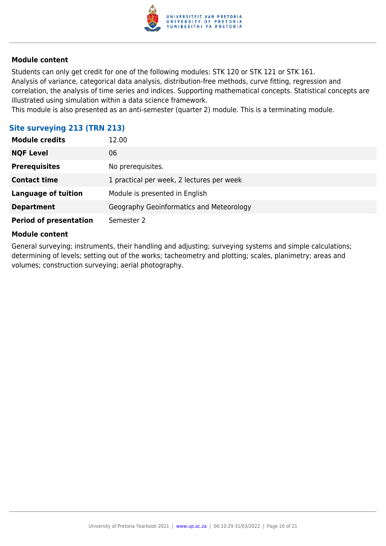

Students can only get credit for one of the following modules: STK 120 or STK 121 or STK 161. Analysis of variance, categorical data analysis, distribution-free methods, curve fitting, regression and correlation, the analysis of time series and indices. Supporting mathematical concepts. Statistical concepts are illustrated using simulation within a data science framework.

This module is also presented as an anti-semester (quarter 2) module. This is a terminating module.

| Site surveying 213 (TRN 213)  |                                           |
|-------------------------------|-------------------------------------------|
| <b>Module credits</b>         | 12.00                                     |
| <b>NQF Level</b>              | 06                                        |
| <b>Prerequisites</b>          | No prerequisites.                         |
| <b>Contact time</b>           | 1 practical per week, 2 lectures per week |
| <b>Language of tuition</b>    | Module is presented in English            |
| <b>Department</b>             | Geography Geoinformatics and Meteorology  |
| <b>Period of presentation</b> | Semester 2                                |

#### **Module content**

General surveying; instruments, their handling and adjusting; surveying systems and simple calculations; determining of levels; setting out of the works; tacheometry and plotting; scales, planimetry; areas and volumes; construction surveying; aerial photography.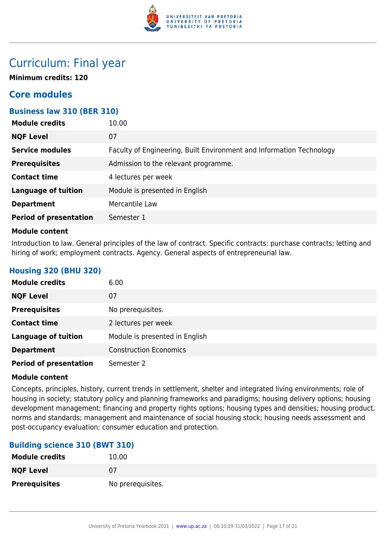

### Curriculum: Final year

**Minimum credits: 120**

### **Core modules**

#### **Business law 310 (BER 310)**

| <b>Module credits</b>         | 10.00                                                                |
|-------------------------------|----------------------------------------------------------------------|
| <b>NQF Level</b>              | 07                                                                   |
| <b>Service modules</b>        | Faculty of Engineering, Built Environment and Information Technology |
| <b>Prerequisites</b>          | Admission to the relevant programme.                                 |
| <b>Contact time</b>           | 4 lectures per week                                                  |
| <b>Language of tuition</b>    | Module is presented in English                                       |
| <b>Department</b>             | Mercantile Law                                                       |
| <b>Period of presentation</b> | Semester 1                                                           |
|                               |                                                                      |

#### **Module content**

Introduction to law. General principles of the law of contract. Specific contracts: purchase contracts; letting and hiring of work; employment contracts. Agency. General aspects of entrepreneurial law.

#### **Housing 320 (BHU 320)**

| <b>Module credits</b>         | 6.00                           |
|-------------------------------|--------------------------------|
| <b>NQF Level</b>              | 07                             |
| <b>Prerequisites</b>          | No prerequisites.              |
| <b>Contact time</b>           | 2 lectures per week            |
| <b>Language of tuition</b>    | Module is presented in English |
| <b>Department</b>             | <b>Construction Economics</b>  |
| <b>Period of presentation</b> | Semester 2                     |

#### **Module content**

Concepts, principles, history, current trends in settlement, shelter and integrated living environments; role of housing in society; statutory policy and planning frameworks and paradigms; housing delivery options; housing development management; financing and property rights options; housing types and densities; housing product, norms and standards; management and maintenance of social housing stock; housing needs assessment and post-occupancy evaluation; consumer education and protection.

#### **Building science 310 (BWT 310)**

| <b>Module credits</b> | 10.00             |
|-----------------------|-------------------|
| <b>NQF Level</b>      | 07                |
| <b>Prerequisites</b>  | No prerequisites. |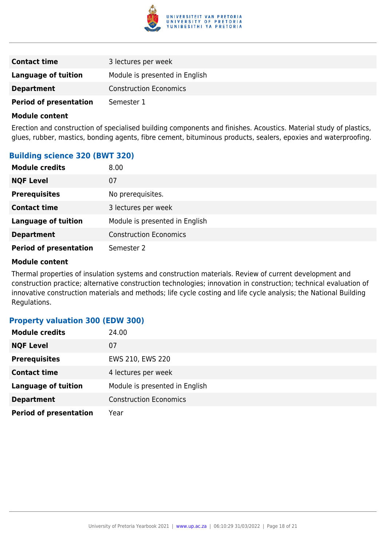

| <b>Contact time</b>           | 3 lectures per week            |
|-------------------------------|--------------------------------|
| Language of tuition           | Module is presented in English |
| <b>Department</b>             | <b>Construction Economics</b>  |
| <b>Period of presentation</b> | Semester 1                     |

Erection and construction of specialised building components and finishes. Acoustics. Material study of plastics, glues, rubber, mastics, bonding agents, fibre cement, bituminous products, sealers, epoxies and waterproofing.

#### **Building science 320 (BWT 320)**

| <b>Module credits</b>         | 8.00                           |
|-------------------------------|--------------------------------|
| <b>NQF Level</b>              | 07                             |
| <b>Prerequisites</b>          | No prerequisites.              |
| <b>Contact time</b>           | 3 lectures per week            |
| <b>Language of tuition</b>    | Module is presented in English |
| <b>Department</b>             | <b>Construction Economics</b>  |
| <b>Period of presentation</b> | Semester 2                     |

#### **Module content**

Thermal properties of insulation systems and construction materials. Review of current development and construction practice; alternative construction technologies; innovation in construction; technical evaluation of innovative construction materials and methods; life cycle costing and life cycle analysis; the National Building Regulations.

#### **Property valuation 300 (EDW 300)**

| <b>Module credits</b>         | 24.00                          |
|-------------------------------|--------------------------------|
| <b>NQF Level</b>              | 07                             |
| <b>Prerequisites</b>          | EWS 210, EWS 220               |
| <b>Contact time</b>           | 4 lectures per week            |
| <b>Language of tuition</b>    | Module is presented in English |
| <b>Department</b>             | <b>Construction Economics</b>  |
| <b>Period of presentation</b> | Year                           |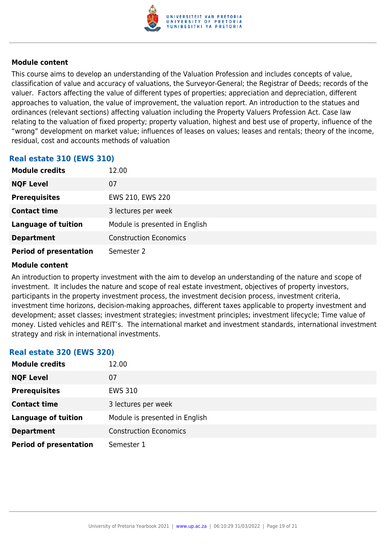

This course aims to develop an understanding of the Valuation Profession and includes concepts of value, classification of value and accuracy of valuations, the Surveyor-General; the Registrar of Deeds; records of the valuer. Factors affecting the value of different types of properties; appreciation and depreciation, different approaches to valuation, the value of improvement, the valuation report. An introduction to the statues and ordinances (relevant sections) affecting valuation including the Property Valuers Profession Act. Case law relating to the valuation of fixed property; property valuation, highest and best use of property, influence of the "wrong" development on market value; influences of leases on values; leases and rentals; theory of the income, residual, cost and accounts methods of valuation

#### **Real estate 310 (EWS 310)**

| <b>Module credits</b>         | 12.00                          |
|-------------------------------|--------------------------------|
| <b>NQF Level</b>              | 07                             |
| <b>Prerequisites</b>          | EWS 210, EWS 220               |
| <b>Contact time</b>           | 3 lectures per week            |
| <b>Language of tuition</b>    | Module is presented in English |
| <b>Department</b>             | <b>Construction Economics</b>  |
| <b>Period of presentation</b> | Semester 2                     |

#### **Module content**

An introduction to property investment with the aim to develop an understanding of the nature and scope of investment. It includes the nature and scope of real estate investment, objectives of property investors, participants in the property investment process, the investment decision process, investment criteria, investment time horizons, decision-making approaches, different taxes applicable to property investment and development; asset classes; investment strategies; investment principles; investment lifecycle; Time value of money. Listed vehicles and REIT's. The international market and investment standards, international investment strategy and risk in international investments.

| <b>Real estate 320 (EWS 320)</b> |                                |
|----------------------------------|--------------------------------|
| <b>Module credits</b>            | 12.00                          |
| <b>NQF Level</b>                 | 07                             |
| <b>Prerequisites</b>             | <b>EWS 310</b>                 |
| <b>Contact time</b>              | 3 lectures per week            |
| <b>Language of tuition</b>       | Module is presented in English |
| <b>Department</b>                | <b>Construction Economics</b>  |
| <b>Period of presentation</b>    | Semester 1                     |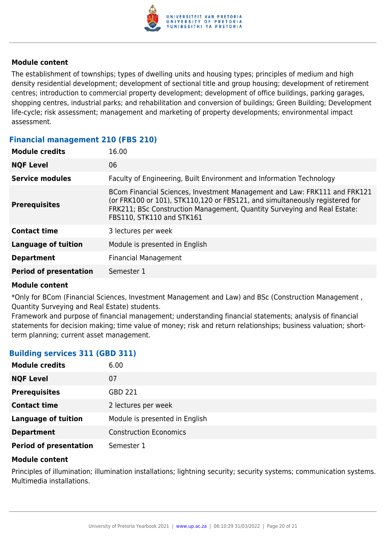

The establishment of townships; types of dwelling units and housing types; principles of medium and high density residential development; development of sectional title and group housing; development of retirement centres; introduction to commercial property development; development of office buildings, parking garages, shopping centres, industrial parks; and rehabilitation and conversion of buildings; Green Building; Development life-cycle; risk assessment; management and marketing of property developments; environmental impact assessment.

#### **Financial management 210 (FBS 210)**

| <b>Module credits</b>         | 16.00                                                                                                                                                                                                                                                             |
|-------------------------------|-------------------------------------------------------------------------------------------------------------------------------------------------------------------------------------------------------------------------------------------------------------------|
| <b>NQF Level</b>              | 06                                                                                                                                                                                                                                                                |
| <b>Service modules</b>        | Faculty of Engineering, Built Environment and Information Technology                                                                                                                                                                                              |
| <b>Prerequisites</b>          | BCom Financial Sciences, Investment Management and Law: FRK111 and FRK121<br>(or FRK100 or 101), STK110,120 or FBS121, and simultaneously registered for<br>FRK211; BSc Construction Management, Quantity Surveying and Real Estate:<br>FBS110, STK110 and STK161 |
| <b>Contact time</b>           | 3 lectures per week                                                                                                                                                                                                                                               |
| Language of tuition           | Module is presented in English                                                                                                                                                                                                                                    |
| <b>Department</b>             | <b>Financial Management</b>                                                                                                                                                                                                                                       |
| <b>Period of presentation</b> | Semester 1                                                                                                                                                                                                                                                        |
|                               |                                                                                                                                                                                                                                                                   |

#### **Module content**

\*Only for BCom (Financial Sciences, Investment Management and Law) and BSc (Construction Management , Quantity Surveying and Real Estate) students.

Framework and purpose of financial management; understanding financial statements; analysis of financial statements for decision making; time value of money; risk and return relationships; business valuation; shortterm planning; current asset management.

#### **Building services 311 (GBD 311)**

| <b>Module credits</b>         | 6.00                           |
|-------------------------------|--------------------------------|
| <b>NQF Level</b>              | 07                             |
| <b>Prerequisites</b>          | GBD 221                        |
| <b>Contact time</b>           | 2 lectures per week            |
| <b>Language of tuition</b>    | Module is presented in English |
| <b>Department</b>             | <b>Construction Economics</b>  |
| <b>Period of presentation</b> | Semester 1                     |

#### **Module content**

Principles of illumination; illumination installations; lightning security; security systems; communication systems. Multimedia installations.